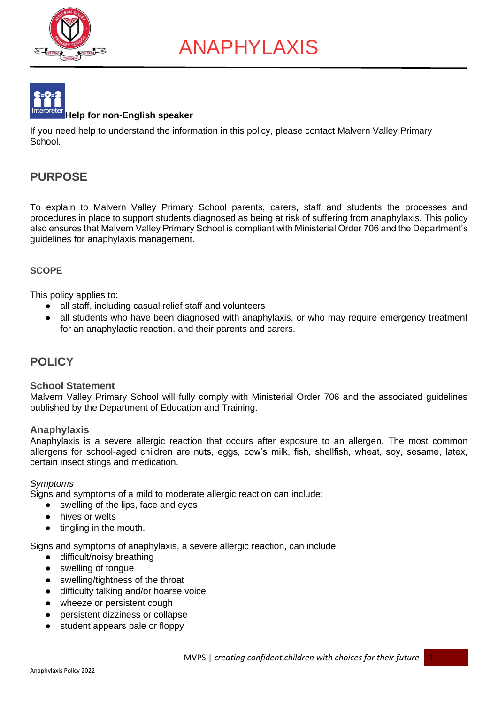





If you need help to understand the information in this policy, please contact Malvern Valley Primary School.

# **PURPOSE**

To explain to Malvern Valley Primary School parents, carers, staff and students the processes and procedures in place to support students diagnosed as being at risk of suffering from anaphylaxis. This policy also ensures that Malvern Valley Primary School is compliant with Ministerial Order 706 and the Department's guidelines for anaphylaxis management.

### **SCOPE**

This policy applies to:

- all staff, including casual relief staff and volunteers
- all students who have been diagnosed with anaphylaxis, or who may require emergency treatment for an anaphylactic reaction, and their parents and carers.

# **POLICY**

### **School Statement**

Malvern Valley Primary School will fully comply with Ministerial Order 706 and the associated guidelines published by the Department of Education and Training.

### **Anaphylaxis**

Anaphylaxis is a severe allergic reaction that occurs after exposure to an allergen. The most common allergens for school-aged children are nuts, eggs, cow's milk, fish, shellfish, wheat, soy, sesame, latex, certain insect stings and medication.

### *Symptoms*

Signs and symptoms of a mild to moderate allergic reaction can include:

- swelling of the lips, face and eyes
- hives or welts
- tingling in the mouth.

Signs and symptoms of anaphylaxis, a severe allergic reaction, can include:

- difficult/noisy breathing
- swelling of tongue
- swelling/tightness of the throat
- difficulty talking and/or hoarse voice
- wheeze or persistent cough
- persistent dizziness or collapse
- student appears pale or floppy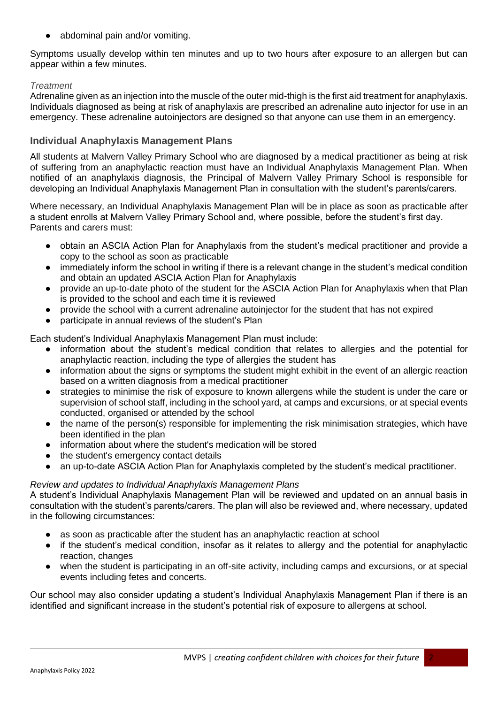abdominal pain and/or vomiting.

Symptoms usually develop within ten minutes and up to two hours after exposure to an allergen but can appear within a few minutes.

### *Treatment*

Adrenaline given as an injection into the muscle of the outer mid-thigh is the first aid treatment for anaphylaxis. Individuals diagnosed as being at risk of anaphylaxis are prescribed an adrenaline auto injector for use in an emergency. These adrenaline autoinjectors are designed so that anyone can use them in an emergency.

### **Individual Anaphylaxis Management Plans**

All students at Malvern Valley Primary School who are diagnosed by a medical practitioner as being at risk of suffering from an anaphylactic reaction must have an Individual Anaphylaxis Management Plan. When notified of an anaphylaxis diagnosis, the Principal of Malvern Valley Primary School is responsible for developing an Individual Anaphylaxis Management Plan in consultation with the student's parents/carers.

Where necessary, an Individual Anaphylaxis Management Plan will be in place as soon as practicable after a student enrolls at Malvern Valley Primary School and, where possible, before the student's first day. Parents and carers must:

- obtain an ASCIA Action Plan for Anaphylaxis from the student's medical practitioner and provide a copy to the school as soon as practicable
- immediately inform the school in writing if there is a relevant change in the student's medical condition and obtain an updated ASCIA Action Plan for Anaphylaxis
- provide an up-to-date photo of the student for the ASCIA Action Plan for Anaphylaxis when that Plan is provided to the school and each time it is reviewed
- provide the school with a current adrenaline autoinjector for the student that has not expired
- participate in annual reviews of the student's Plan

Each student's Individual Anaphylaxis Management Plan must include:

- information about the student's medical condition that relates to allergies and the potential for anaphylactic reaction, including the type of allergies the student has
- information about the signs or symptoms the student might exhibit in the event of an allergic reaction based on a written diagnosis from a medical practitioner
- strategies to minimise the risk of exposure to known allergens while the student is under the care or supervision of school staff, including in the school yard, at camps and excursions, or at special events conducted, organised or attended by the school
- the name of the person(s) responsible for implementing the risk minimisation strategies, which have been identified in the plan
- information about where the student's medication will be stored
- the student's emergency contact details
- an up-to-date ASCIA Action Plan for Anaphylaxis completed by the student's medical practitioner.

### *Review and updates to Individual Anaphylaxis Management Plans*

A student's Individual Anaphylaxis Management Plan will be reviewed and updated on an annual basis in consultation with the student's parents/carers. The plan will also be reviewed and, where necessary, updated in the following circumstances:

- as soon as practicable after the student has an anaphylactic reaction at school
- if the student's medical condition, insofar as it relates to allergy and the potential for anaphylactic reaction, changes
- when the student is participating in an off-site activity, including camps and excursions, or at special events including fetes and concerts.

Our school may also consider updating a student's Individual Anaphylaxis Management Plan if there is an identified and significant increase in the student's potential risk of exposure to allergens at school.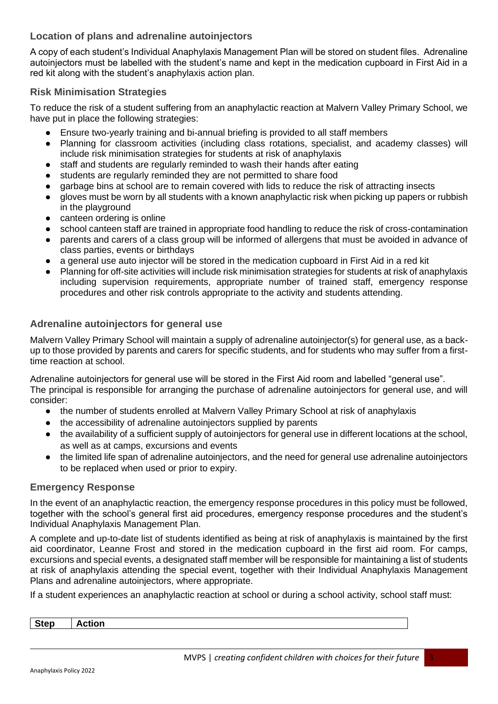### **Location of plans and adrenaline autoinjectors**

A copy of each student's Individual Anaphylaxis Management Plan will be stored on student files. Adrenaline autoinjectors must be labelled with the student's name and kept in the medication cupboard in First Aid in a red kit along with the student's anaphylaxis action plan.

### **Risk Minimisation Strategies**

To reduce the risk of a student suffering from an anaphylactic reaction at Malvern Valley Primary School, we have put in place the following strategies:

- Ensure two-yearly training and bi-annual briefing is provided to all staff members
- Planning for classroom activities (including class rotations, specialist, and academy classes) will include risk minimisation strategies for students at risk of anaphylaxis
- staff and students are regularly reminded to wash their hands after eating
- students are regularly reminded they are not permitted to share food
- garbage bins at school are to remain covered with lids to reduce the risk of attracting insects
- gloves must be worn by all students with a known anaphylactic risk when picking up papers or rubbish in the playground
- canteen ordering is online
- school canteen staff are trained in appropriate food handling to reduce the risk of cross-contamination
- parents and carers of a class group will be informed of allergens that must be avoided in advance of class parties, events or birthdays
- a general use auto injector will be stored in the medication cupboard in First Aid in a red kit
- Planning for off-site activities will include risk minimisation strategies for students at risk of anaphylaxis including supervision requirements, appropriate number of trained staff, emergency response procedures and other risk controls appropriate to the activity and students attending.

### **Adrenaline autoinjectors for general use**

Malvern Valley Primary School will maintain a supply of adrenaline autoinjector(s) for general use, as a backup to those provided by parents and carers for specific students, and for students who may suffer from a firsttime reaction at school.

Adrenaline autoinjectors for general use will be stored in the First Aid room and labelled "general use". The principal is responsible for arranging the purchase of adrenaline autoinjectors for general use, and will consider:

- the number of students enrolled at Malvern Valley Primary School at risk of anaphylaxis
- the accessibility of adrenaline autoinjectors supplied by parents
- the availability of a sufficient supply of autoinjectors for general use in different locations at the school, as well as at camps, excursions and events
- the limited life span of adrenaline autoinjectors, and the need for general use adrenaline autoinjectors to be replaced when used or prior to expiry.

### **Emergency Response**

In the event of an anaphylactic reaction, the emergency response procedures in this policy must be followed, together with the school's general first aid procedures, emergency response procedures and the student's Individual Anaphylaxis Management Plan.

A complete and up-to-date list of students identified as being at risk of anaphylaxis is maintained by the first aid coordinator, Leanne Frost and stored in the medication cupboard in the first aid room. For camps, excursions and special events, a designated staff member will be responsible for maintaining a list of students at risk of anaphylaxis attending the special event, together with their Individual Anaphylaxis Management Plans and adrenaline autoinjectors, where appropriate.

If a student experiences an anaphylactic reaction at school or during a school activity, school staff must:

| <b>Step</b> | $-1 = -1$<br>tion |
|-------------|-------------------|
|             |                   |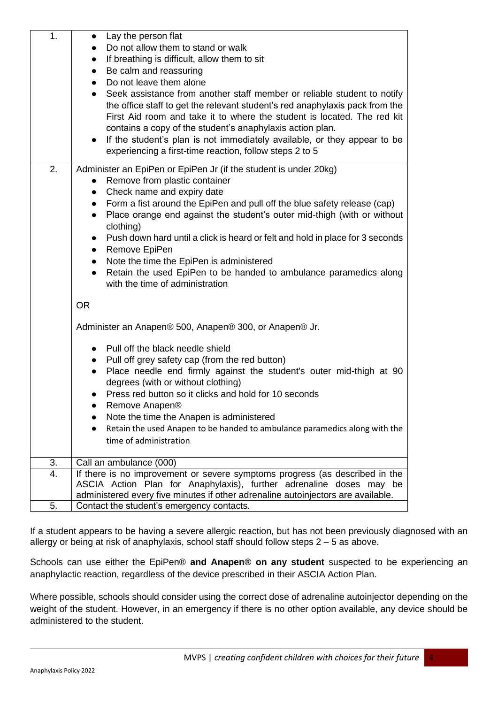| 1. | Lay the person flat                                                                                                                                                                                                                                                                                                                                                                                                                                 |  |  |
|----|-----------------------------------------------------------------------------------------------------------------------------------------------------------------------------------------------------------------------------------------------------------------------------------------------------------------------------------------------------------------------------------------------------------------------------------------------------|--|--|
|    | Do not allow them to stand or walk                                                                                                                                                                                                                                                                                                                                                                                                                  |  |  |
|    | If breathing is difficult, allow them to sit<br>$\bullet$                                                                                                                                                                                                                                                                                                                                                                                           |  |  |
|    | Be calm and reassuring<br>$\bullet$                                                                                                                                                                                                                                                                                                                                                                                                                 |  |  |
|    | Do not leave them alone<br>$\bullet$                                                                                                                                                                                                                                                                                                                                                                                                                |  |  |
|    | Seek assistance from another staff member or reliable student to notify<br>$\bullet$<br>the office staff to get the relevant student's red anaphylaxis pack from the<br>First Aid room and take it to where the student is located. The red kit<br>contains a copy of the student's anaphylaxis action plan.<br>If the student's plan is not immediately available, or they appear to be<br>experiencing a first-time reaction, follow steps 2 to 5 |  |  |
| 2. | Administer an EpiPen or EpiPen Jr (if the student is under 20kg)                                                                                                                                                                                                                                                                                                                                                                                    |  |  |
|    | Remove from plastic container                                                                                                                                                                                                                                                                                                                                                                                                                       |  |  |
|    | Check name and expiry date                                                                                                                                                                                                                                                                                                                                                                                                                          |  |  |
|    | Form a fist around the EpiPen and pull off the blue safety release (cap)<br>$\bullet$                                                                                                                                                                                                                                                                                                                                                               |  |  |
|    | Place orange end against the student's outer mid-thigh (with or without<br>$\bullet$                                                                                                                                                                                                                                                                                                                                                                |  |  |
|    | clothing)                                                                                                                                                                                                                                                                                                                                                                                                                                           |  |  |
|    | Push down hard until a click is heard or felt and hold in place for 3 seconds                                                                                                                                                                                                                                                                                                                                                                       |  |  |
|    | Remove EpiPen<br>$\bullet$<br>Note the time the EpiPen is administered<br>$\bullet$                                                                                                                                                                                                                                                                                                                                                                 |  |  |
|    | Retain the used EpiPen to be handed to ambulance paramedics along<br>$\bullet$                                                                                                                                                                                                                                                                                                                                                                      |  |  |
|    | with the time of administration                                                                                                                                                                                                                                                                                                                                                                                                                     |  |  |
|    | <b>OR</b>                                                                                                                                                                                                                                                                                                                                                                                                                                           |  |  |
|    | Administer an Anapen® 500, Anapen® 300, or Anapen® Jr.                                                                                                                                                                                                                                                                                                                                                                                              |  |  |
|    | Pull off the black needle shield                                                                                                                                                                                                                                                                                                                                                                                                                    |  |  |
|    | Pull off grey safety cap (from the red button)<br>$\bullet$                                                                                                                                                                                                                                                                                                                                                                                         |  |  |
|    | Place needle end firmly against the student's outer mid-thigh at 90<br>$\bullet$                                                                                                                                                                                                                                                                                                                                                                    |  |  |
|    | degrees (with or without clothing)                                                                                                                                                                                                                                                                                                                                                                                                                  |  |  |
|    | Press red button so it clicks and hold for 10 seconds                                                                                                                                                                                                                                                                                                                                                                                               |  |  |
|    | Remove Anapen®                                                                                                                                                                                                                                                                                                                                                                                                                                      |  |  |
|    | Note the time the Anapen is administered                                                                                                                                                                                                                                                                                                                                                                                                            |  |  |
|    | Retain the used Anapen to be handed to ambulance paramedics along with the                                                                                                                                                                                                                                                                                                                                                                          |  |  |
|    | time of administration                                                                                                                                                                                                                                                                                                                                                                                                                              |  |  |
| 3. | Call an ambulance (000)                                                                                                                                                                                                                                                                                                                                                                                                                             |  |  |
| 4. | If there is no improvement or severe symptoms progress (as described in the                                                                                                                                                                                                                                                                                                                                                                         |  |  |
|    | ASCIA Action Plan for Anaphylaxis), further adrenaline doses may be                                                                                                                                                                                                                                                                                                                                                                                 |  |  |
|    | administered every five minutes if other adrenaline autoinjectors are available.                                                                                                                                                                                                                                                                                                                                                                    |  |  |
| 5. | Contact the student's emergency contacts.                                                                                                                                                                                                                                                                                                                                                                                                           |  |  |

If a student appears to be having a severe allergic reaction, but has not been previously diagnosed with an allergy or being at risk of anaphylaxis, school staff should follow steps 2 – 5 as above.

Schools can use either the EpiPen® **and Anapen® on any student** suspected to be experiencing an anaphylactic reaction, regardless of the device prescribed in their ASCIA Action Plan.

Where possible, schools should consider using the correct dose of adrenaline autoinjector depending on the weight of the student. However, in an emergency if there is no other option available, any device should be administered to the student.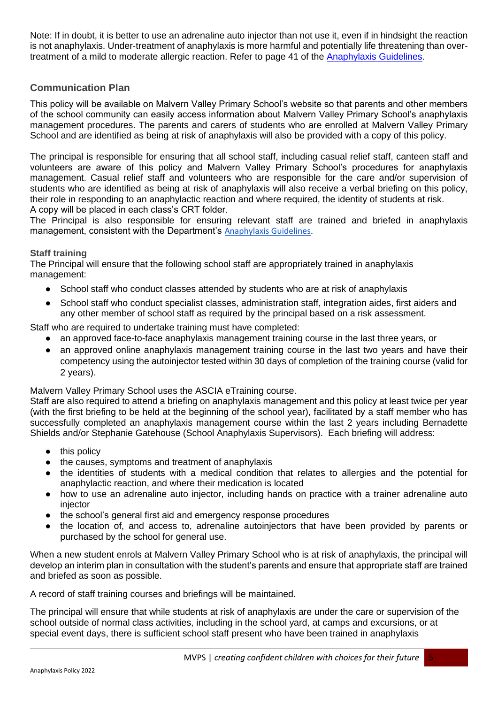Note: If in doubt, it is better to use an adrenaline auto injector than not use it, even if in hindsight the reaction is not anaphylaxis. Under-treatment of anaphylaxis is more harmful and potentially life threatening than overtreatment of a mild to moderate allergic reaction. Refer to page 41 of the [Anaphylaxis Guidelines.](http://www.education.vic.gov.au/school/teachers/health/pages/anaphylaxisschl.aspx)

### **Communication Plan**

This policy will be available on Malvern Valley Primary School's website so that parents and other members of the school community can easily access information about Malvern Valley Primary School's anaphylaxis management procedures. The parents and carers of students who are enrolled at Malvern Valley Primary School and are identified as being at risk of anaphylaxis will also be provided with a copy of this policy.

The principal is responsible for ensuring that all school staff, including casual relief staff, canteen staff and volunteers are aware of this policy and Malvern Valley Primary School's procedures for anaphylaxis management. Casual relief staff and volunteers who are responsible for the care and/or supervision of students who are identified as being at risk of anaphylaxis will also receive a verbal briefing on this policy, their role in responding to an anaphylactic reaction and where required, the identity of students at risk. A copy will be placed in each class's CRT folder.

The Principal is also responsible for ensuring relevant staff are trained and briefed in anaphylaxis management, consistent with the Department's [Anaphylaxis Guidelines.](https://www2.education.vic.gov.au/pal/anaphylaxis/guidance)

### **Staff training**

The Principal will ensure that the following school staff are appropriately trained in anaphylaxis management:

- School staff who conduct classes attended by students who are at risk of anaphylaxis
- School staff who conduct specialist classes, administration staff, integration aides, first aiders and any other member of school staff as required by the principal based on a risk assessment.

Staff who are required to undertake training must have completed:

- an approved face-to-face anaphylaxis management training course in the last three years, or
- an approved online anaphylaxis management training course in the last two years and have their competency using the autoinjector tested within 30 days of completion of the training course (valid for 2 years).

Malvern Valley Primary School uses the ASCIA eTraining course.

Staff are also required to attend a briefing on anaphylaxis management and this policy at least twice per year (with the first briefing to be held at the beginning of the school year), facilitated by a staff member who has successfully completed an anaphylaxis management course within the last 2 years including Bernadette Shields and/or Stephanie Gatehouse (School Anaphylaxis Supervisors). Each briefing will address:

- this policy
- the causes, symptoms and treatment of anaphylaxis
- the identities of students with a medical condition that relates to allergies and the potential for anaphylactic reaction, and where their medication is located
- how to use an adrenaline auto injector, including hands on practice with a trainer adrenaline auto injector
- the school's general first aid and emergency response procedures
- the location of, and access to, adrenaline autoiniectors that have been provided by parents or purchased by the school for general use.

When a new student enrols at Malvern Valley Primary School who is at risk of anaphylaxis, the principal will develop an interim plan in consultation with the student's parents and ensure that appropriate staff are trained and briefed as soon as possible.

A record of staff training courses and briefings will be maintained.

The principal will ensure that while students at risk of anaphylaxis are under the care or supervision of the school outside of normal class activities, including in the school yard, at camps and excursions, or at special event days, there is sufficient school staff present who have been trained in anaphylaxis